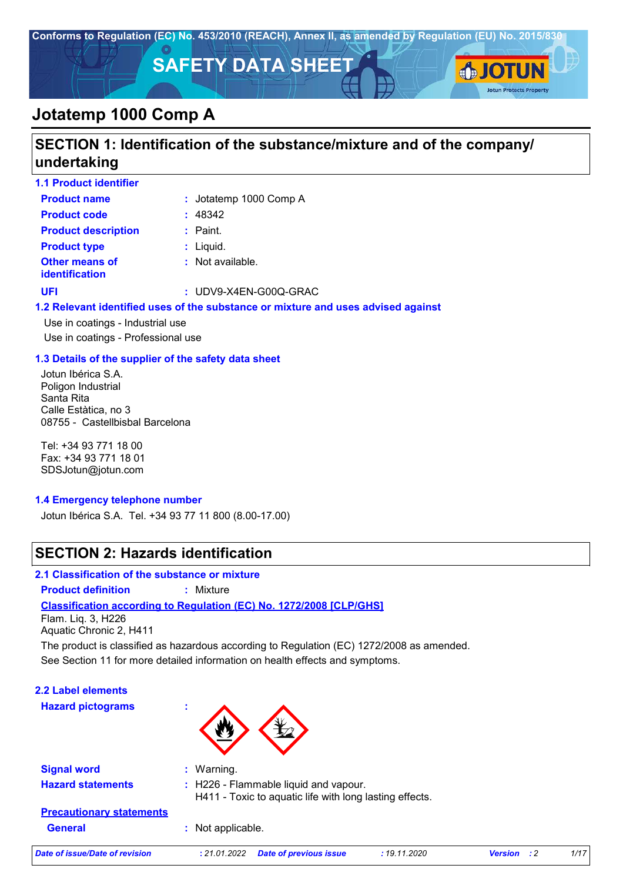

## **SECTION 1: Identification of the substance/mixture and of the company/ undertaking**

| <b>1.1 Product identifier</b>                  |                                                                           |
|------------------------------------------------|---------------------------------------------------------------------------|
| <b>Product name</b>                            | : Jotatemp 1000 Comp A                                                    |
| <b>Product code</b>                            | : 48342                                                                   |
| <b>Product description</b>                     | $:$ Paint.                                                                |
| <b>Product type</b>                            | $:$ Liquid.                                                               |
| <b>Other means of</b><br><b>identification</b> | $:$ Not available.                                                        |
| UFI                                            | : UDV9-X4EN-G00Q-GRAC                                                     |
|                                                | 1.2 Pelevant identified uses of the substance or mivture and uses advised |

#### **1.2 Relevant identified uses of the substance or mixture and uses advised against**

Use in coatings - Industrial use Use in coatings - Professional use

#### **1.3 Details of the supplier of the safety data sheet**

Jotun Ibérica S.A. Poligon Industrial Santa Rita Calle Estàtica, no 3 08755 - Castellbisbal Barcelona

Tel: +34 93 771 18 00 Fax: +34 93 771 18 01 SDSJotun@jotun.com

#### **1.4 Emergency telephone number**

Jotun Ibérica S.A. Tel. +34 93 77 11 800 (8.00-17.00)

## **SECTION 2: Hazards identification**

### **2.1 Classification of the substance or mixture**

**Product definition :** Mixture

### **Classification according to Regulation (EC) No. 1272/2008 [CLP/GHS]**

Flam. Liq. 3, H226 Aquatic Chronic 2, H411

See Section 11 for more detailed information on health effects and symptoms. The product is classified as hazardous according to Regulation (EC) 1272/2008 as amended.

**2.2 Label elements**

**Hazard pictograms :**



| <b>Signal word</b>              | $\therefore$ Warning.                                                                                       |  |
|---------------------------------|-------------------------------------------------------------------------------------------------------------|--|
| <b>Hazard statements</b>        | $\therefore$ H226 - Flammable liquid and vapour.<br>H411 - Toxic to aquatic life with long lasting effects. |  |
| <b>Precautionary statements</b> |                                                                                                             |  |
| <b>General</b>                  | : Not applicable.                                                                                           |  |

*Date of issue/Date of revision* **:** *21.01.2022 Date of previous issue : 19.11.2020 Version : 2 1/17*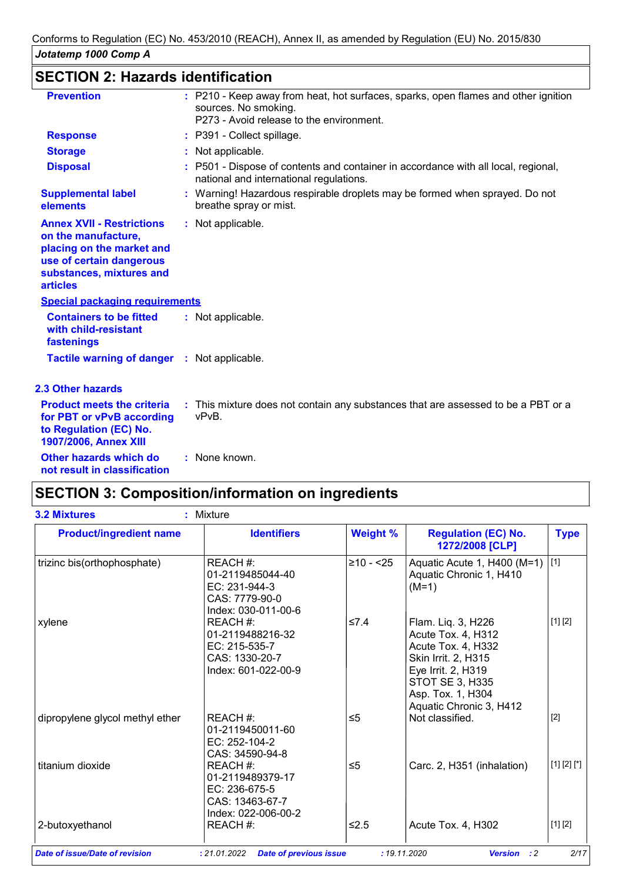## **SECTION 2: Hazards identification**

| <b>Prevention</b>                                                                                                                                               | : P210 - Keep away from heat, hot surfaces, sparks, open flames and other ignition<br>sources. No smoking.<br>P273 - Avoid release to the environment. |
|-----------------------------------------------------------------------------------------------------------------------------------------------------------------|--------------------------------------------------------------------------------------------------------------------------------------------------------|
| <b>Response</b>                                                                                                                                                 | : P391 - Collect spillage.                                                                                                                             |
| <b>Storage</b>                                                                                                                                                  | : Not applicable.                                                                                                                                      |
| <b>Disposal</b>                                                                                                                                                 | : P501 - Dispose of contents and container in accordance with all local, regional,<br>national and international regulations.                          |
| <b>Supplemental label</b><br>elements                                                                                                                           | : Warning! Hazardous respirable droplets may be formed when sprayed. Do not<br>breathe spray or mist.                                                  |
| <b>Annex XVII - Restrictions</b><br>on the manufacture,<br>placing on the market and<br>use of certain dangerous<br>substances, mixtures and<br><b>articles</b> | : Not applicable.                                                                                                                                      |
| <b>Special packaging requirements</b>                                                                                                                           |                                                                                                                                                        |
| <b>Containers to be fitted</b><br>with child-resistant<br>fastenings                                                                                            | : Not applicable.                                                                                                                                      |
| Tactile warning of danger : Not applicable.                                                                                                                     |                                                                                                                                                        |
| <b>2.3 Other hazards</b>                                                                                                                                        |                                                                                                                                                        |
| <b>Product meets the criteria</b><br>for PBT or vPvB according<br>to Regulation (EC) No.<br>1907/2006, Annex XIII                                               | : This mixture does not contain any substances that are assessed to be a PBT or a<br>vPvB.                                                             |
| Other hazards which do<br>not result in classification                                                                                                          | : None known.                                                                                                                                          |

## **SECTION 3: Composition/information on ingredients**

| <b>Product/ingredient name</b>  | <b>Identifiers</b>                                                                        | <b>Weight %</b> | <b>Regulation (EC) No.</b><br>1272/2008 [CLP]                                                                                                                                         | <b>Type</b>   |
|---------------------------------|-------------------------------------------------------------------------------------------|-----------------|---------------------------------------------------------------------------------------------------------------------------------------------------------------------------------------|---------------|
| trizinc bis(orthophosphate)     | REACH #:<br>01-2119485044-40<br>EC: 231-944-3<br>CAS: 7779-90-0<br>Index: 030-011-00-6    | $≥10 - 25$      | Aquatic Acute 1, H400 (M=1)<br>Aquatic Chronic 1, H410<br>$(M=1)$                                                                                                                     | $[1]$         |
| xylene                          | REACH #:<br>01-2119488216-32<br>EC: 215-535-7<br>CAS: 1330-20-7<br>Index: 601-022-00-9    | $\leq 7.4$      | Flam. Liq. 3, H226<br>Acute Tox. 4, H312<br>Acute Tox. 4, H332<br>Skin Irrit. 2, H315<br>Eye Irrit. 2, H319<br><b>STOT SE 3, H335</b><br>Asp. Tox. 1, H304<br>Aquatic Chronic 3, H412 | [1] [2]       |
| dipropylene glycol methyl ether | REACH #:<br>01-2119450011-60<br>EC: 252-104-2<br>CAS: 34590-94-8                          | $\leq 5$        | Not classified.                                                                                                                                                                       | $[2]$         |
| titanium dioxide                | REACH #:<br>01-2119489379-17<br>$EC: 236-675-5$<br>CAS: 13463-67-7<br>Index: 022-006-00-2 | $\leq 5$        | Carc. 2, H351 (inhalation)                                                                                                                                                            | $[1] [2] [*]$ |
| 2-butoxyethanol                 | REACH #:                                                                                  | $≤2.5$          | Acute Tox. 4, H302                                                                                                                                                                    | [1] [2]       |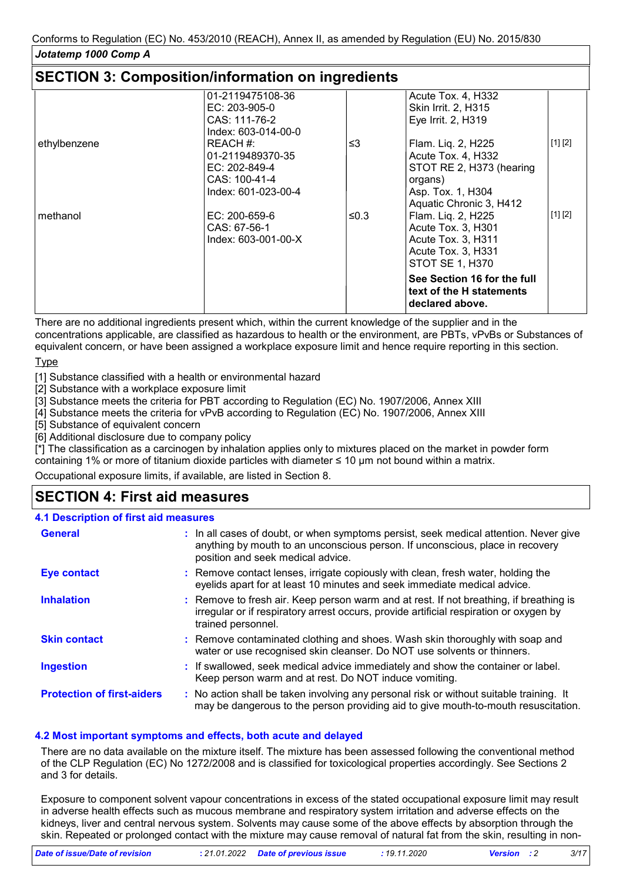#### *Jotatemp 1000 Comp A* **SECTION 3: Composition/information on ingredients** 01-2119475108-36 EC: 203-905-0 CAS: 111-76-2 Index: 603-014-00-0 Acute Tox. 4, H332 Skin Irrit. 2, H315 Eye Irrit. 2, H319 ethylbenzene REACH #: 01-2119489370-35 EC: 202-849-4 CAS: 100-41-4 Index: 601-023-00-4 ≤3 Flam. Liq. 2, H225 Acute Tox. 4, H332 STOT RE 2, H373 (hearing organs) Asp. Tox. 1, H304 Aquatic Chronic 3, H412 [1] [2] methanol EC: 200-659-6 CAS: 67-56-1 Index: 603-001-00-X ≤0.3 Flam. Liq. 2, H225 Acute Tox. 3, H301 Acute Tox. 3, H311 Acute Tox. 3, H331 STOT SE 1, H370 [1] [2] **See Section 16 for the full text of the H statements declared above.**

There are no additional ingredients present which, within the current knowledge of the supplier and in the concentrations applicable, are classified as hazardous to health or the environment, are PBTs, vPvBs or Substances of equivalent concern, or have been assigned a workplace exposure limit and hence require reporting in this section.

Type

[1] Substance classified with a health or environmental hazard

[2] Substance with a workplace exposure limit

[3] Substance meets the criteria for PBT according to Regulation (EC) No. 1907/2006, Annex XIII

[4] Substance meets the criteria for vPvB according to Regulation (EC) No. 1907/2006, Annex XIII

[5] Substance of equivalent concern

[6] Additional disclosure due to company policy

[\*] The classification as a carcinogen by inhalation applies only to mixtures placed on the market in powder form containing 1% or more of titanium dioxide particles with diameter ≤ 10 μm not bound within a matrix.

Occupational exposure limits, if available, are listed in Section 8.

## **SECTION 4: First aid measures**

#### **4.1 Description of first aid measures**

| <b>General</b>                    | : In all cases of doubt, or when symptoms persist, seek medical attention. Never give<br>anything by mouth to an unconscious person. If unconscious, place in recovery<br>position and seek medical advice. |
|-----------------------------------|-------------------------------------------------------------------------------------------------------------------------------------------------------------------------------------------------------------|
| <b>Eye contact</b>                | : Remove contact lenses, irrigate copiously with clean, fresh water, holding the<br>eyelids apart for at least 10 minutes and seek immediate medical advice.                                                |
| <b>Inhalation</b>                 | : Remove to fresh air. Keep person warm and at rest. If not breathing, if breathing is<br>irregular or if respiratory arrest occurs, provide artificial respiration or oxygen by<br>trained personnel.      |
| <b>Skin contact</b>               | : Remove contaminated clothing and shoes. Wash skin thoroughly with soap and<br>water or use recognised skin cleanser. Do NOT use solvents or thinners.                                                     |
| <b>Ingestion</b>                  | : If swallowed, seek medical advice immediately and show the container or label.<br>Keep person warm and at rest. Do NOT induce vomiting.                                                                   |
| <b>Protection of first-aiders</b> | : No action shall be taken involving any personal risk or without suitable training. It<br>may be dangerous to the person providing aid to give mouth-to-mouth resuscitation.                               |

#### **4.2 Most important symptoms and effects, both acute and delayed**

There are no data available on the mixture itself. The mixture has been assessed following the conventional method of the CLP Regulation (EC) No 1272/2008 and is classified for toxicological properties accordingly. See Sections 2 and 3 for details.

Exposure to component solvent vapour concentrations in excess of the stated occupational exposure limit may result in adverse health effects such as mucous membrane and respiratory system irritation and adverse effects on the kidneys, liver and central nervous system. Solvents may cause some of the above effects by absorption through the skin. Repeated or prolonged contact with the mixture may cause removal of natural fat from the skin, resulting in non-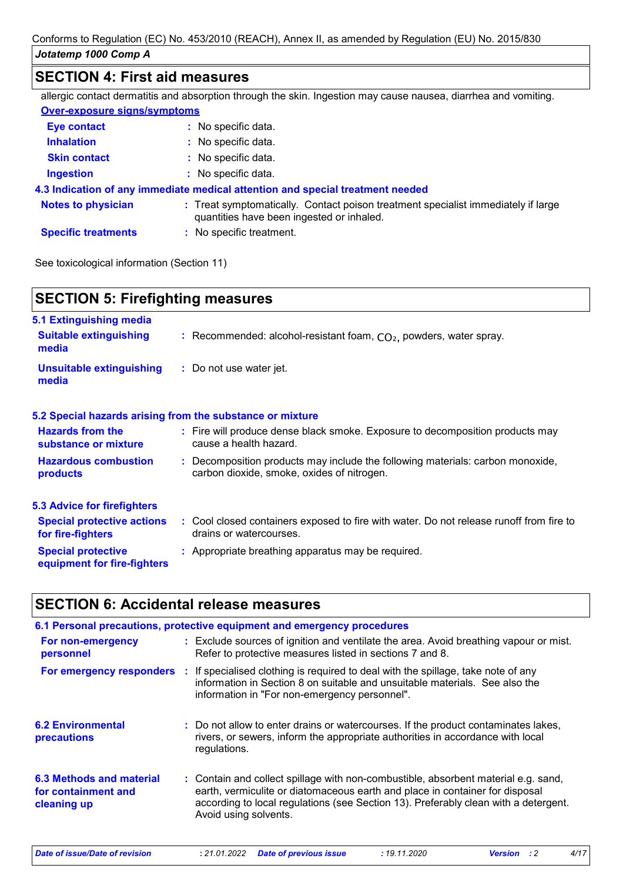## **SECTION 4: First aid measures**

|                              | allergic contact dermatitis and absorption through the skin. Ingestion may cause nausea, diarrhea and vomiting.                |
|------------------------------|--------------------------------------------------------------------------------------------------------------------------------|
| Over-exposure signs/symptoms |                                                                                                                                |
| <b>Eye contact</b>           | : No specific data.                                                                                                            |
| <b>Inhalation</b>            | : No specific data.                                                                                                            |
| <b>Skin contact</b>          | : No specific data.                                                                                                            |
| <b>Ingestion</b>             | $:$ No specific data.                                                                                                          |
|                              | 4.3 Indication of any immediate medical attention and special treatment needed                                                 |
| <b>Notes to physician</b>    | : Treat symptomatically. Contact poison treatment specialist immediately if large<br>quantities have been ingested or inhaled. |
| <b>Specific treatments</b>   | : No specific treatment.                                                                                                       |

See toxicological information (Section 11)

| <b>SECTION 5: Firefighting measures</b>                           |                                                                                                                              |  |  |  |  |
|-------------------------------------------------------------------|------------------------------------------------------------------------------------------------------------------------------|--|--|--|--|
| 5.1 Extinguishing media<br><b>Suitable extinguishing</b><br>media | : Recommended: alcohol-resistant foam, $CO2$ , powders, water spray.                                                         |  |  |  |  |
| <b>Unsuitable extinguishing</b><br>media                          | : Do not use water jet.                                                                                                      |  |  |  |  |
|                                                                   | 5.2 Special hazards arising from the substance or mixture                                                                    |  |  |  |  |
| <b>Hazards from the</b><br>substance or mixture                   | : Fire will produce dense black smoke. Exposure to decomposition products may<br>cause a health hazard.                      |  |  |  |  |
| <b>Hazardous combustion</b><br>products                           | : Decomposition products may include the following materials: carbon monoxide,<br>carbon dioxide, smoke, oxides of nitrogen. |  |  |  |  |
| <b>5.3 Advice for firefighters</b>                                |                                                                                                                              |  |  |  |  |
| <b>Special protective actions</b><br>for fire-fighters            | : Cool closed containers exposed to fire with water. Do not release runoff from fire to<br>drains or watercourses.           |  |  |  |  |
| <b>Special protective</b><br>equipment for fire-fighters          | : Appropriate breathing apparatus may be required.                                                                           |  |  |  |  |

## **SECTION 6: Accidental release measures**

|                                                                | 6.1 Personal precautions, protective equipment and emergency procedures                                                                                                                                                                                                            |
|----------------------------------------------------------------|------------------------------------------------------------------------------------------------------------------------------------------------------------------------------------------------------------------------------------------------------------------------------------|
| For non-emergency<br>personnel                                 | : Exclude sources of ignition and ventilate the area. Avoid breathing vapour or mist.<br>Refer to protective measures listed in sections 7 and 8.                                                                                                                                  |
|                                                                | For emergency responders : If specialised clothing is required to deal with the spillage, take note of any<br>information in Section 8 on suitable and unsuitable materials. See also the<br>information in "For non-emergency personnel".                                         |
| <b>6.2 Environmental</b><br>precautions                        | : Do not allow to enter drains or watercourses. If the product contaminates lakes,<br>rivers, or sewers, inform the appropriate authorities in accordance with local<br>regulations.                                                                                               |
| 6.3 Methods and material<br>for containment and<br>cleaning up | : Contain and collect spillage with non-combustible, absorbent material e.g. sand,<br>earth, vermiculite or diatomaceous earth and place in container for disposal<br>according to local regulations (see Section 13). Preferably clean with a detergent.<br>Avoid using solvents. |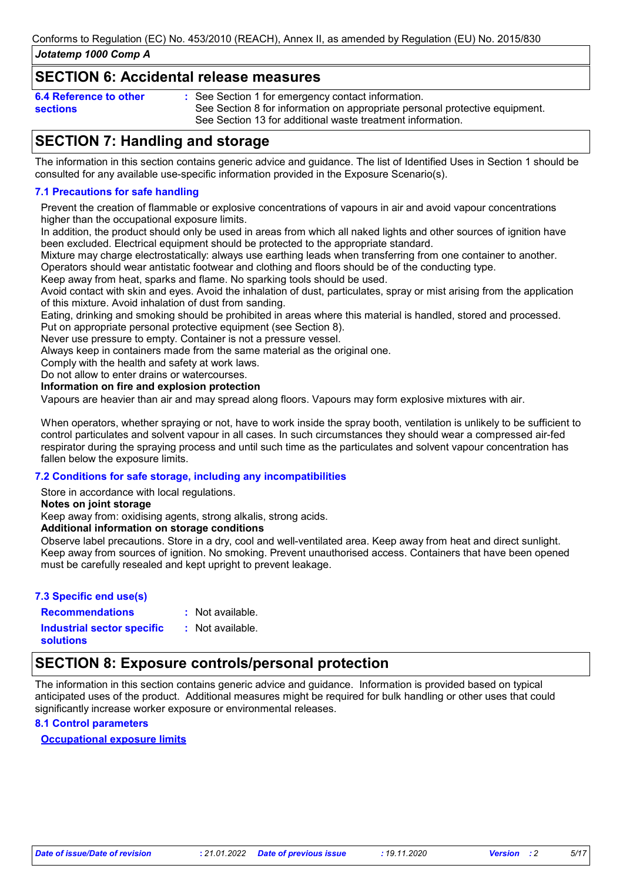### **SECTION 6: Accidental release measures**

| 6.4 Reference to other | : See Section 1 for emergency contact information.                          |
|------------------------|-----------------------------------------------------------------------------|
| sections               | See Section 8 for information on appropriate personal protective equipment. |
|                        | See Section 13 for additional waste treatment information.                  |

## **SECTION 7: Handling and storage**

The information in this section contains generic advice and guidance. The list of Identified Uses in Section 1 should be consulted for any available use-specific information provided in the Exposure Scenario(s).

#### **7.1 Precautions for safe handling**

Prevent the creation of flammable or explosive concentrations of vapours in air and avoid vapour concentrations higher than the occupational exposure limits.

In addition, the product should only be used in areas from which all naked lights and other sources of ignition have been excluded. Electrical equipment should be protected to the appropriate standard.

Mixture may charge electrostatically: always use earthing leads when transferring from one container to another. Operators should wear antistatic footwear and clothing and floors should be of the conducting type.

Keep away from heat, sparks and flame. No sparking tools should be used.

Avoid contact with skin and eyes. Avoid the inhalation of dust, particulates, spray or mist arising from the application of this mixture. Avoid inhalation of dust from sanding.

Eating, drinking and smoking should be prohibited in areas where this material is handled, stored and processed. Put on appropriate personal protective equipment (see Section 8).

Never use pressure to empty. Container is not a pressure vessel.

Always keep in containers made from the same material as the original one.

Comply with the health and safety at work laws.

Do not allow to enter drains or watercourses.

#### **Information on fire and explosion protection**

Vapours are heavier than air and may spread along floors. Vapours may form explosive mixtures with air.

When operators, whether spraying or not, have to work inside the spray booth, ventilation is unlikely to be sufficient to control particulates and solvent vapour in all cases. In such circumstances they should wear a compressed air-fed respirator during the spraying process and until such time as the particulates and solvent vapour concentration has fallen below the exposure limits.

#### **7.2 Conditions for safe storage, including any incompatibilities**

Store in accordance with local regulations.

**Notes on joint storage**

Keep away from: oxidising agents, strong alkalis, strong acids.

**Additional information on storage conditions**

Observe label precautions. Store in a dry, cool and well-ventilated area. Keep away from heat and direct sunlight. Keep away from sources of ignition. No smoking. Prevent unauthorised access. Containers that have been opened must be carefully resealed and kept upright to prevent leakage.

#### **7.3 Specific end use(s)**

**Recommendations : Industrial sector specific : solutions**

: Not available. : Not available.

## **SECTION 8: Exposure controls/personal protection**

The information in this section contains generic advice and guidance. Information is provided based on typical anticipated uses of the product. Additional measures might be required for bulk handling or other uses that could significantly increase worker exposure or environmental releases.

#### **8.1 Control parameters**

#### **Occupational exposure limits**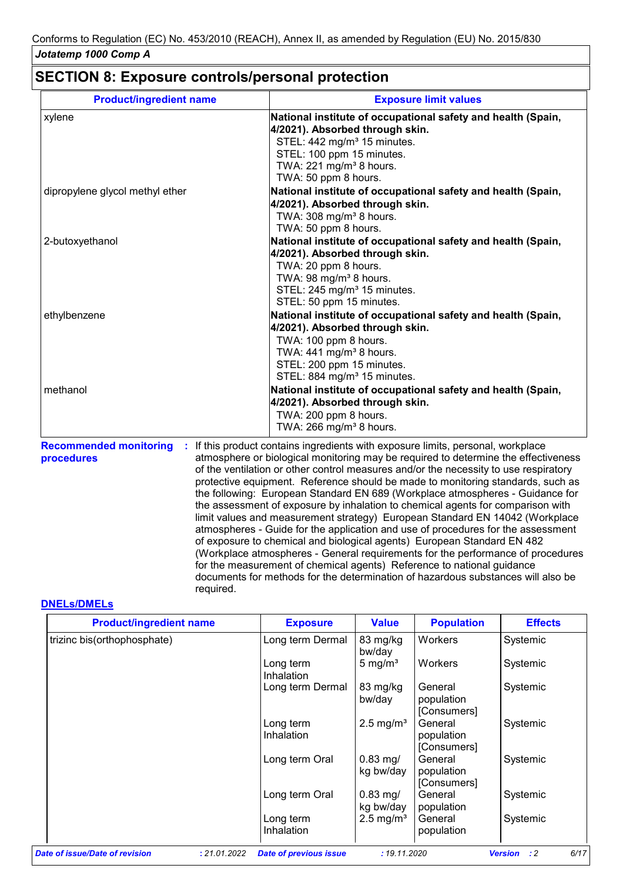## **SECTION 8: Exposure controls/personal protection**

required.

| <b>Product/ingredient name</b>                   | <b>Exposure limit values</b>                                                                                                                                                                                                                                                                                                                                                                                                                                                                                                                                                                                                                                                                                                                                                                                                                                                                                                                                                                                        |
|--------------------------------------------------|---------------------------------------------------------------------------------------------------------------------------------------------------------------------------------------------------------------------------------------------------------------------------------------------------------------------------------------------------------------------------------------------------------------------------------------------------------------------------------------------------------------------------------------------------------------------------------------------------------------------------------------------------------------------------------------------------------------------------------------------------------------------------------------------------------------------------------------------------------------------------------------------------------------------------------------------------------------------------------------------------------------------|
| xylene                                           | National institute of occupational safety and health (Spain,<br>4/2021). Absorbed through skin.<br>STEL: 442 mg/m <sup>3</sup> 15 minutes.<br>STEL: 100 ppm 15 minutes.<br>TWA: 221 mg/m <sup>3</sup> 8 hours.<br>TWA: 50 ppm 8 hours.                                                                                                                                                                                                                                                                                                                                                                                                                                                                                                                                                                                                                                                                                                                                                                              |
| dipropylene glycol methyl ether                  | National institute of occupational safety and health (Spain,<br>4/2021). Absorbed through skin.<br>TWA: 308 mg/m <sup>3</sup> 8 hours.<br>TWA: 50 ppm 8 hours.                                                                                                                                                                                                                                                                                                                                                                                                                                                                                                                                                                                                                                                                                                                                                                                                                                                      |
| 2-butoxyethanol                                  | National institute of occupational safety and health (Spain,<br>4/2021). Absorbed through skin.<br>TWA: 20 ppm 8 hours.<br>TWA: 98 mg/m <sup>3</sup> 8 hours.<br>STEL: 245 mg/m <sup>3</sup> 15 minutes.<br>STEL: 50 ppm 15 minutes.                                                                                                                                                                                                                                                                                                                                                                                                                                                                                                                                                                                                                                                                                                                                                                                |
| ethylbenzene                                     | National institute of occupational safety and health (Spain,<br>4/2021). Absorbed through skin.<br>TWA: 100 ppm 8 hours.<br>TWA: $441$ mg/m <sup>3</sup> 8 hours.<br>STEL: 200 ppm 15 minutes.<br>STEL: 884 mg/m <sup>3</sup> 15 minutes.                                                                                                                                                                                                                                                                                                                                                                                                                                                                                                                                                                                                                                                                                                                                                                           |
| methanol                                         | National institute of occupational safety and health (Spain,<br>4/2021). Absorbed through skin.<br>TWA: 200 ppm 8 hours.<br>TWA: 266 mg/m <sup>3</sup> 8 hours.                                                                                                                                                                                                                                                                                                                                                                                                                                                                                                                                                                                                                                                                                                                                                                                                                                                     |
| <b>Recommended monitoring</b><br>÷<br>procedures | If this product contains ingredients with exposure limits, personal, workplace<br>atmosphere or biological monitoring may be required to determine the effectiveness<br>of the ventilation or other control measures and/or the necessity to use respiratory<br>protective equipment. Reference should be made to monitoring standards, such as<br>the following: European Standard EN 689 (Workplace atmospheres - Guidance for<br>the assessment of exposure by inhalation to chemical agents for comparison with<br>limit values and measurement strategy) European Standard EN 14042 (Workplace<br>atmospheres - Guide for the application and use of procedures for the assessment<br>of exposure to chemical and biological agents) European Standard EN 482<br>(Workplace atmospheres - General requirements for the performance of procedures<br>for the measurement of chemical agents) Reference to national guidance<br>documents for methods for the determination of hazardous substances will also be |

#### **DNELs/DMELs**

| <b>Product/ingredient name</b> |              | <b>Exposure</b>               | <b>Value</b>            | <b>Population</b>                    | <b>Effects</b>                |
|--------------------------------|--------------|-------------------------------|-------------------------|--------------------------------------|-------------------------------|
| trizinc bis(orthophosphate)    |              | Long term Dermal              | 83 mg/kg<br>bw/day      | Workers                              | Systemic                      |
|                                |              | Long term<br>Inhalation       | 5 mg/ $m3$              | Workers                              | Systemic                      |
|                                |              | Long term Dermal              | 83 mg/kg<br>bw/day      | General<br>population<br>[Consumers] | Systemic                      |
|                                |              | Long term<br>Inhalation       | $2.5 \text{ mg/m}^3$    | General<br>population<br>[Consumers] | Systemic                      |
|                                |              | Long term Oral                | $0.83$ mg/<br>kg bw/day | General<br>population<br>[Consumers] | Systemic                      |
|                                |              | Long term Oral                | $0.83$ mg/<br>kg bw/day | General<br>population                | Systemic                      |
|                                |              | Long term<br>Inhalation       | $2.5 \text{ mg/m}^3$    | General<br>population                | Systemic                      |
| Date of issue/Date of revision | : 21.01.2022 | <b>Date of previous issue</b> | : 19.11.2020            |                                      | $\cdot$ : 2<br><b>Version</b> |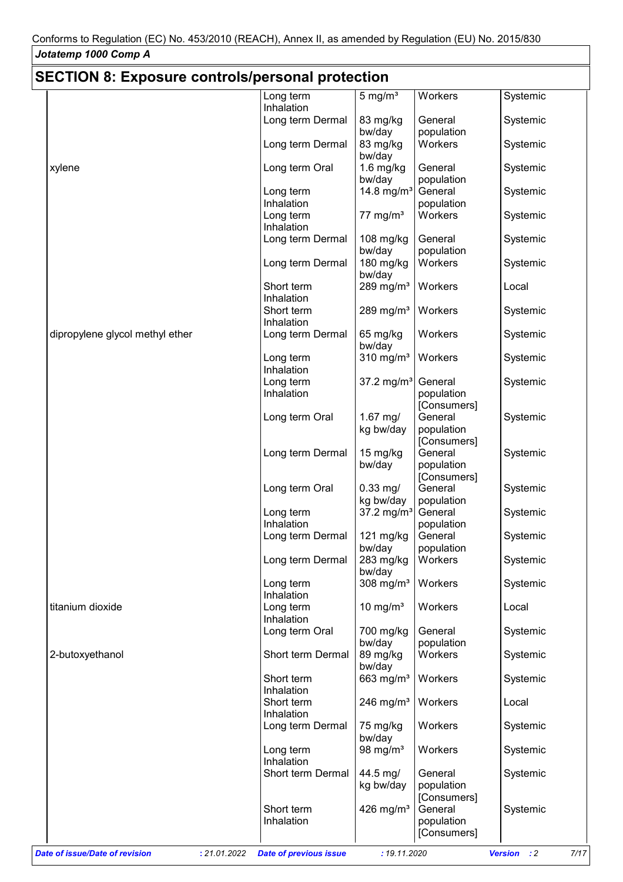## **SECTION 8: Exposure controls/personal protection**

| OLOTION 0. LAPOSUIG CONTUOIS/PGISONAI PIOTGOTION |                                |                               | Workers                              |                                       |
|--------------------------------------------------|--------------------------------|-------------------------------|--------------------------------------|---------------------------------------|
|                                                  | Long term<br>Inhalation        | $5 \text{ mg/m}^3$            |                                      | Systemic                              |
|                                                  | Long term Dermal               | 83 mg/kg<br>bw/day            | General<br>population                | Systemic                              |
|                                                  | Long term Dermal               | 83 mg/kg<br>bw/day            | Workers                              | Systemic                              |
| xylene                                           | Long term Oral                 | $1.6$ mg/kg<br>bw/day         | General<br>population                | Systemic                              |
|                                                  | Long term<br>Inhalation        | 14.8 mg/m <sup>3</sup>        | General<br>population                | Systemic                              |
|                                                  | Long term                      | $77 \text{ mg/m}^3$           | Workers                              | Systemic                              |
|                                                  | Inhalation<br>Long term Dermal | 108 mg/kg                     | General                              | Systemic                              |
|                                                  | Long term Dermal               | bw/day<br>180 mg/kg<br>bw/day | population<br>Workers                | Systemic                              |
|                                                  | Short term<br>Inhalation       | 289 mg/m $3$                  | Workers                              | Local                                 |
|                                                  | Short term<br>Inhalation       | 289 mg/m $3$                  | Workers                              | Systemic                              |
| dipropylene glycol methyl ether                  | Long term Dermal               | 65 mg/kg<br>bw/day            | Workers                              | Systemic                              |
|                                                  | Long term<br>Inhalation        | 310 mg/ $m3$                  | Workers                              | Systemic                              |
|                                                  | Long term<br>Inhalation        | 37.2 mg/m <sup>3</sup>        | General<br>population<br>[Consumers] | Systemic                              |
|                                                  | Long term Oral                 | $1.67$ mg/<br>kg bw/day       | General<br>population<br>[Consumers] | Systemic                              |
|                                                  | Long term Dermal               | 15 mg/kg<br>bw/day            | General<br>population<br>[Consumers] | Systemic                              |
|                                                  | Long term Oral                 | $0.33$ mg/<br>kg bw/day       | General<br>population                | Systemic                              |
|                                                  | Long term<br>Inhalation        | 37.2 mg/m <sup>3</sup>        | General<br>population                | Systemic                              |
|                                                  | Long term Dermal               | 121 mg/kg<br>bw/day           | General<br>population                | Systemic                              |
|                                                  | Long term Dermal               | 283 mg/kg<br>bw/day           | Workers                              | Systemic                              |
|                                                  | Long term<br>Inhalation        | 308 mg/ $m3$                  | Workers                              | Systemic                              |
| titanium dioxide                                 | Long term<br>Inhalation        | 10 mg/ $m3$                   | Workers                              | Local                                 |
|                                                  | Long term Oral                 | 700 mg/kg<br>bw/day           | General<br>population                | Systemic                              |
| 2-butoxyethanol                                  | Short term Dermal              | 89 mg/kg<br>bw/day            | Workers                              | Systemic                              |
|                                                  | Short term<br>Inhalation       | 663 $mg/m3$                   | Workers                              | Systemic                              |
|                                                  | Short term<br>Inhalation       | 246 mg/m $3$                  | Workers                              | Local                                 |
|                                                  | Long term Dermal               | 75 mg/kg<br>bw/day            | Workers                              | Systemic                              |
|                                                  | Long term<br>Inhalation        | 98 mg/ $m3$                   | Workers                              | Systemic                              |
|                                                  | Short term Dermal              | 44.5 mg/<br>kg bw/day         | General<br>population<br>[Consumers] | Systemic                              |
|                                                  | Short term<br>Inhalation       | 426 mg/m <sup>3</sup>         | General<br>population                | Systemic                              |
| Date of issue/Date of revision<br>: 21.01.2022   | <b>Date of previous issue</b>  | : 19.11.2020                  | [Consumers]                          | <b>Version</b><br>$\cdot$ : 2<br>7/17 |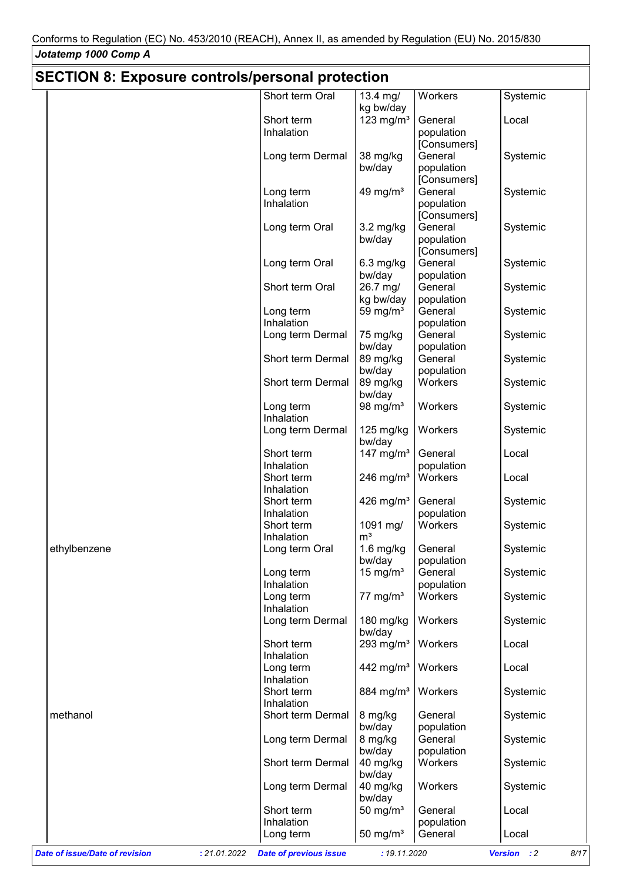| <b>SECTION 8: Exposure controls/personal protection</b> |                               |                         |                       |                     |  |  |
|---------------------------------------------------------|-------------------------------|-------------------------|-----------------------|---------------------|--|--|
|                                                         | Short term Oral               | $13.4$ mg/<br>kg bw/day | Workers               | Systemic            |  |  |
|                                                         | Short term                    | 123 mg/ $m3$            | General               | Local               |  |  |
|                                                         | Inhalation                    |                         | population            |                     |  |  |
|                                                         |                               |                         | [Consumers]           |                     |  |  |
|                                                         | Long term Dermal              | 38 mg/kg                | General               | Systemic            |  |  |
|                                                         |                               | bw/day                  | population            |                     |  |  |
|                                                         |                               |                         | [Consumers]           |                     |  |  |
|                                                         | Long term                     | 49 mg/ $m3$             | General               | Systemic            |  |  |
|                                                         | Inhalation                    |                         | population            |                     |  |  |
|                                                         |                               |                         | [Consumers]           |                     |  |  |
|                                                         | Long term Oral                | $3.2$ mg/kg             | General               | Systemic            |  |  |
|                                                         |                               | bw/day                  | population            |                     |  |  |
|                                                         |                               |                         | [Consumers]           |                     |  |  |
|                                                         | Long term Oral                | $6.3$ mg/kg             | General               | Systemic            |  |  |
|                                                         |                               | bw/day                  | population            |                     |  |  |
|                                                         | Short term Oral               | 26.7 mg/                | General               | Systemic            |  |  |
|                                                         |                               | kg bw/day               | population            |                     |  |  |
|                                                         | Long term                     | 59 mg/ $m3$             | General               | Systemic            |  |  |
|                                                         | Inhalation                    |                         | population            |                     |  |  |
|                                                         | Long term Dermal              | 75 mg/kg                | General               | Systemic            |  |  |
|                                                         |                               | bw/day                  | population            |                     |  |  |
|                                                         | Short term Dermal             | 89 mg/kg                | General               | Systemic            |  |  |
|                                                         |                               | bw/day                  | population            |                     |  |  |
|                                                         | Short term Dermal             | 89 mg/kg                | Workers               | Systemic            |  |  |
|                                                         |                               | bw/day                  |                       |                     |  |  |
|                                                         | Long term                     | 98 mg/ $m3$             | Workers               | Systemic            |  |  |
|                                                         | Inhalation                    |                         |                       |                     |  |  |
|                                                         | Long term Dermal              | $125$ mg/kg             | Workers               | Systemic            |  |  |
|                                                         | Short term                    | bw/day                  | General               | Local               |  |  |
|                                                         | Inhalation                    | 147 mg/ $m3$            | population            |                     |  |  |
|                                                         | Short term                    | 246 mg/m $3$            | Workers               | Local               |  |  |
|                                                         | Inhalation                    |                         |                       |                     |  |  |
|                                                         | Short term                    | 426 mg/ $m3$            | General               | Systemic            |  |  |
|                                                         | Inhalation                    |                         | population            |                     |  |  |
|                                                         | Short term                    | 1091 mg/                | Workers               | Systemic            |  |  |
|                                                         | Inhalation                    | m <sup>3</sup>          |                       |                     |  |  |
| ethylbenzene                                            | Long term Oral                | $1.6$ mg/kg             | General               | Systemic            |  |  |
|                                                         |                               | bw/day                  | population            |                     |  |  |
|                                                         | Long term                     | 15 mg/ $m3$             | General               | Systemic            |  |  |
|                                                         | Inhalation                    |                         | population            |                     |  |  |
|                                                         | Long term                     | $77 \text{ mg/m}^3$     | Workers               | Systemic            |  |  |
|                                                         | Inhalation                    |                         |                       |                     |  |  |
|                                                         | Long term Dermal              | 180 mg/kg               | Workers               | Systemic            |  |  |
|                                                         |                               | bw/day                  |                       |                     |  |  |
|                                                         | Short term                    | 293 mg/m $3$            | Workers               | Local               |  |  |
|                                                         | Inhalation                    |                         |                       |                     |  |  |
|                                                         | Long term                     | 442 mg/m <sup>3</sup>   | Workers               | Local               |  |  |
|                                                         | Inhalation                    |                         |                       |                     |  |  |
|                                                         | Short term                    | 884 mg/m <sup>3</sup>   | Workers               | Systemic            |  |  |
|                                                         | Inhalation                    |                         |                       |                     |  |  |
| methanol                                                | Short term Dermal             | 8 mg/kg                 | General               | Systemic            |  |  |
|                                                         |                               | bw/day                  | population<br>General |                     |  |  |
|                                                         | Long term Dermal              | 8 mg/kg<br>bw/day       | population            | Systemic            |  |  |
|                                                         | Short term Dermal             | 40 mg/kg                | Workers               | Systemic            |  |  |
|                                                         |                               | bw/day                  |                       |                     |  |  |
|                                                         | Long term Dermal              | 40 mg/kg                | Workers               | Systemic            |  |  |
|                                                         |                               | bw/day                  |                       |                     |  |  |
|                                                         | Short term                    | 50 mg/ $m3$             | General               | Local               |  |  |
|                                                         | Inhalation                    |                         | population            |                     |  |  |
|                                                         | Long term                     | 50 mg/ $m3$             | General               | Local               |  |  |
|                                                         |                               |                         |                       |                     |  |  |
| <b>Date of issue/Date of revision</b><br>: 21.01.2022   | <b>Date of previous issue</b> | : 19.11.2020            |                       | Version : 2<br>8/17 |  |  |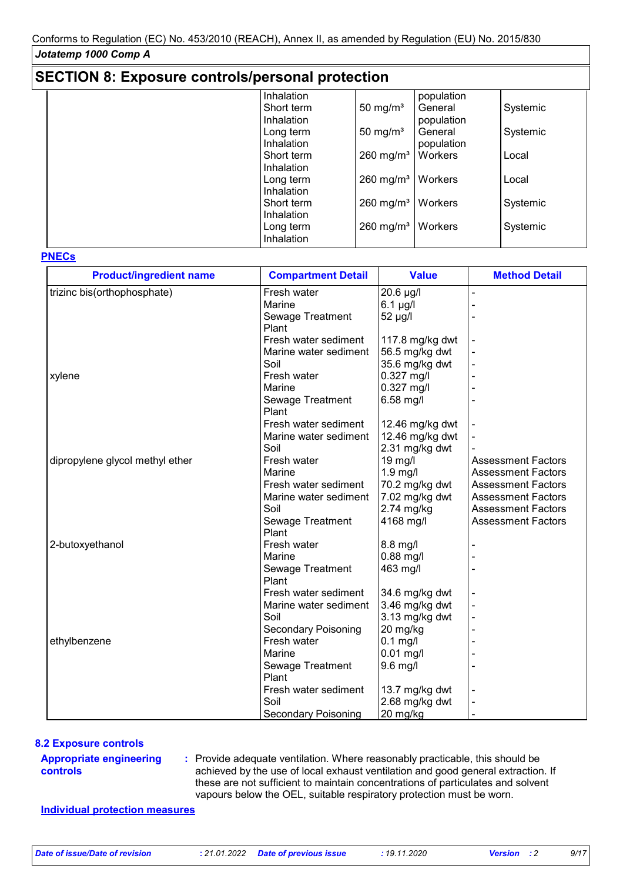| <b>SECTION 8: Exposure controls/personal protection</b> |                   |                         |            |          |  |  |  |
|---------------------------------------------------------|-------------------|-------------------------|------------|----------|--|--|--|
|                                                         | <b>Inhalation</b> |                         | population |          |  |  |  |
|                                                         | Short term        | 50 mg/m <sup>3</sup>    | General    | Systemic |  |  |  |
|                                                         | <b>Inhalation</b> |                         | population |          |  |  |  |
|                                                         | Long term         | 50 mg/ $m3$             | General    | Systemic |  |  |  |
|                                                         | Inhalation        |                         | population |          |  |  |  |
|                                                         | Short term        | $260 \text{ mg/m}^3$    | Workers    | Local    |  |  |  |
|                                                         | Inhalation        |                         |            |          |  |  |  |
|                                                         | Long term         | $260$ mg/m <sup>3</sup> | Workers    | Local    |  |  |  |
|                                                         | Inhalation        |                         |            |          |  |  |  |
|                                                         | Short term        | $260 \text{ mg/m}^3$    | Workers    | Systemic |  |  |  |
|                                                         | Inhalation        |                         |            |          |  |  |  |
|                                                         | Long term         | $260$ mg/m <sup>3</sup> | Workers    | Systemic |  |  |  |
|                                                         | Inhalation        |                         |            |          |  |  |  |
|                                                         |                   |                         |            |          |  |  |  |

#### **PNECs**

| <b>Product/ingredient name</b>  | <b>Compartment Detail</b>  | <b>Value</b>    | <b>Method Detail</b>      |
|---------------------------------|----------------------------|-----------------|---------------------------|
| trizinc bis(orthophosphate)     | Fresh water                | 20.6 µg/l       | ä,                        |
|                                 | Marine                     | $6.1$ µg/l      |                           |
|                                 | Sewage Treatment           | 52 µg/l         |                           |
|                                 | Plant                      |                 |                           |
|                                 | Fresh water sediment       | 117.8 mg/kg dwt |                           |
|                                 | Marine water sediment      | 56.5 mg/kg dwt  |                           |
|                                 | Soil                       | 35.6 mg/kg dwt  |                           |
| xylene                          | Fresh water                | $0.327$ mg/l    |                           |
|                                 | Marine                     | 0.327 mg/l      |                           |
|                                 | Sewage Treatment           | 6.58 mg/l       |                           |
|                                 | Plant                      |                 |                           |
|                                 | Fresh water sediment       | 12.46 mg/kg dwt |                           |
|                                 | Marine water sediment      | 12.46 mg/kg dwt |                           |
|                                 | Soil                       | 2.31 mg/kg dwt  |                           |
| dipropylene glycol methyl ether | Fresh water                | 19 mg/l         | <b>Assessment Factors</b> |
|                                 | Marine                     | $1.9$ mg/l      | <b>Assessment Factors</b> |
|                                 | Fresh water sediment       | 70.2 mg/kg dwt  | <b>Assessment Factors</b> |
|                                 | Marine water sediment      | 7.02 mg/kg dwt  | <b>Assessment Factors</b> |
|                                 | Soil                       | 2.74 mg/kg      | <b>Assessment Factors</b> |
|                                 | Sewage Treatment           | 4168 mg/l       | <b>Assessment Factors</b> |
|                                 | Plant                      |                 |                           |
| 2-butoxyethanol                 | Fresh water                | 8.8 mg/l        |                           |
|                                 | Marine                     | 0.88 mg/l       |                           |
|                                 | Sewage Treatment           | 463 mg/l        |                           |
|                                 | Plant                      |                 |                           |
|                                 | Fresh water sediment       | 34.6 mg/kg dwt  |                           |
|                                 | Marine water sediment      | 3.46 mg/kg dwt  |                           |
|                                 | Soil                       | 3.13 mg/kg dwt  |                           |
|                                 | <b>Secondary Poisoning</b> | 20 mg/kg        |                           |
| ethylbenzene                    | Fresh water                | $0.1$ mg/l      |                           |
|                                 | Marine                     | 0.01 mg/l       |                           |
|                                 | Sewage Treatment           | 9.6 mg/l        |                           |
|                                 | Plant                      |                 |                           |
|                                 | Fresh water sediment       | 13.7 mg/kg dwt  |                           |
|                                 | Soil                       | 2.68 mg/kg dwt  |                           |
|                                 | Secondary Poisoning        | 20 mg/kg        |                           |

#### **8.2 Exposure controls**

#### **Appropriate engineering controls**

Provide adequate ventilation. Where reasonably practicable, this should be **:** achieved by the use of local exhaust ventilation and good general extraction. If these are not sufficient to maintain concentrations of particulates and solvent vapours below the OEL, suitable respiratory protection must be worn.

#### **Individual protection measures**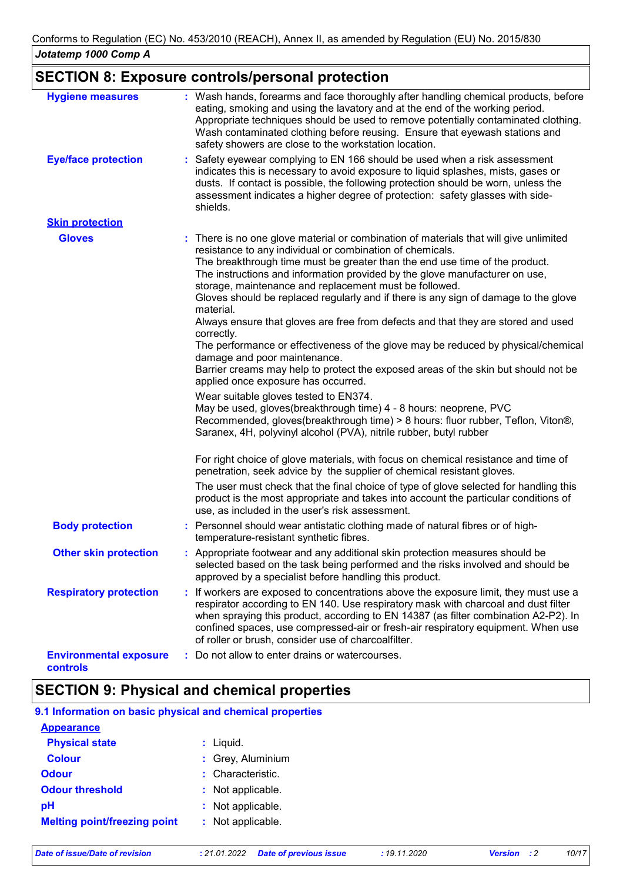## **SECTION 8: Exposure controls/personal protection**

| <b>Hygiene measures</b>                   | : Wash hands, forearms and face thoroughly after handling chemical products, before<br>eating, smoking and using the lavatory and at the end of the working period.<br>Appropriate techniques should be used to remove potentially contaminated clothing.<br>Wash contaminated clothing before reusing. Ensure that eyewash stations and<br>safety showers are close to the workstation location.                                                                                                                                                                                                                                                                                                                                                                                                                                                                                                                                                                                                                                                                                                          |
|-------------------------------------------|------------------------------------------------------------------------------------------------------------------------------------------------------------------------------------------------------------------------------------------------------------------------------------------------------------------------------------------------------------------------------------------------------------------------------------------------------------------------------------------------------------------------------------------------------------------------------------------------------------------------------------------------------------------------------------------------------------------------------------------------------------------------------------------------------------------------------------------------------------------------------------------------------------------------------------------------------------------------------------------------------------------------------------------------------------------------------------------------------------|
| <b>Eye/face protection</b>                | Safety eyewear complying to EN 166 should be used when a risk assessment<br>indicates this is necessary to avoid exposure to liquid splashes, mists, gases or<br>dusts. If contact is possible, the following protection should be worn, unless the<br>assessment indicates a higher degree of protection: safety glasses with side-<br>shields.                                                                                                                                                                                                                                                                                                                                                                                                                                                                                                                                                                                                                                                                                                                                                           |
| <b>Skin protection</b>                    |                                                                                                                                                                                                                                                                                                                                                                                                                                                                                                                                                                                                                                                                                                                                                                                                                                                                                                                                                                                                                                                                                                            |
| <b>Gloves</b>                             | : There is no one glove material or combination of materials that will give unlimited<br>resistance to any individual or combination of chemicals.<br>The breakthrough time must be greater than the end use time of the product.<br>The instructions and information provided by the glove manufacturer on use,<br>storage, maintenance and replacement must be followed.<br>Gloves should be replaced regularly and if there is any sign of damage to the glove<br>material.<br>Always ensure that gloves are free from defects and that they are stored and used<br>correctly.<br>The performance or effectiveness of the glove may be reduced by physical/chemical<br>damage and poor maintenance.<br>Barrier creams may help to protect the exposed areas of the skin but should not be<br>applied once exposure has occurred.<br>Wear suitable gloves tested to EN374.<br>May be used, gloves(breakthrough time) 4 - 8 hours: neoprene, PVC<br>Recommended, gloves(breakthrough time) > 8 hours: fluor rubber, Teflon, Viton®,<br>Saranex, 4H, polyvinyl alcohol (PVA), nitrile rubber, butyl rubber |
|                                           | For right choice of glove materials, with focus on chemical resistance and time of<br>penetration, seek advice by the supplier of chemical resistant gloves.<br>The user must check that the final choice of type of glove selected for handling this<br>product is the most appropriate and takes into account the particular conditions of<br>use, as included in the user's risk assessment.                                                                                                                                                                                                                                                                                                                                                                                                                                                                                                                                                                                                                                                                                                            |
| <b>Body protection</b>                    | : Personnel should wear antistatic clothing made of natural fibres or of high-<br>temperature-resistant synthetic fibres.                                                                                                                                                                                                                                                                                                                                                                                                                                                                                                                                                                                                                                                                                                                                                                                                                                                                                                                                                                                  |
| <b>Other skin protection</b>              | : Appropriate footwear and any additional skin protection measures should be<br>selected based on the task being performed and the risks involved and should be<br>approved by a specialist before handling this product.                                                                                                                                                                                                                                                                                                                                                                                                                                                                                                                                                                                                                                                                                                                                                                                                                                                                                  |
| <b>Respiratory protection</b>             | : If workers are exposed to concentrations above the exposure limit, they must use a<br>respirator according to EN 140. Use respiratory mask with charcoal and dust filter<br>when spraying this product, according to EN 14387 (as filter combination A2-P2). In<br>confined spaces, use compressed-air or fresh-air respiratory equipment. When use<br>of roller or brush, consider use of charcoalfilter.                                                                                                                                                                                                                                                                                                                                                                                                                                                                                                                                                                                                                                                                                               |
| <b>Environmental exposure</b><br>controls | Do not allow to enter drains or watercourses.                                                                                                                                                                                                                                                                                                                                                                                                                                                                                                                                                                                                                                                                                                                                                                                                                                                                                                                                                                                                                                                              |

## **SECTION 9: Physical and chemical properties**

#### **9.1 Information on basic physical and chemical properties Appearance**

| <b>Physical state</b>               | $:$ Liquid.       |
|-------------------------------------|-------------------|
| <b>Colour</b>                       | : Grey, Aluminium |
| <b>Odour</b>                        | : Characteristic. |
| <b>Odour threshold</b>              | : Not applicable. |
| рH                                  | : Not applicable. |
| <b>Melting point/freezing point</b> | : Not applicable. |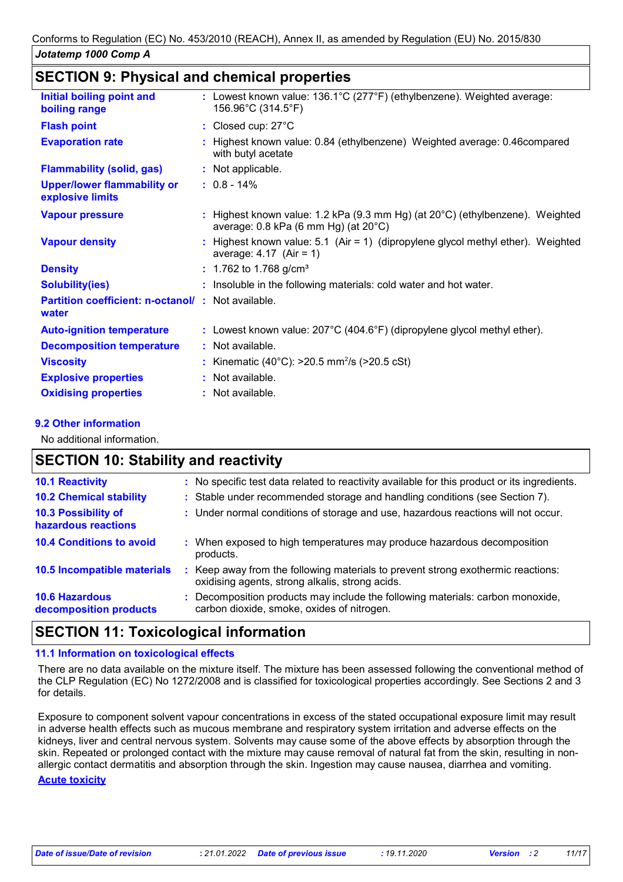### **SECTION 9: Physical and chemical properties**

| Initial boiling point and<br>boiling range                 | : Lowest known value: 136.1°C (277°F) (ethylbenzene). Weighted average:<br>156.96°C (314.5°F)                                               |
|------------------------------------------------------------|---------------------------------------------------------------------------------------------------------------------------------------------|
| <b>Flash point</b>                                         | : Closed cup: 27°C                                                                                                                          |
| <b>Evaporation rate</b>                                    | : Highest known value: 0.84 (ethylbenzene) Weighted average: 0.46 compared<br>with butyl acetate                                            |
| <b>Flammability (solid, gas)</b>                           | : Not applicable.                                                                                                                           |
| <b>Upper/lower flammability or</b><br>explosive limits     | $: 0.8 - 14\%$                                                                                                                              |
| <b>Vapour pressure</b>                                     | : Highest known value: 1.2 kPa (9.3 mm Hg) (at $20^{\circ}$ C) (ethylbenzene). Weighted<br>average: $0.8$ kPa (6 mm Hg) (at $20^{\circ}$ C) |
| <b>Vapour density</b>                                      | : Highest known value: 5.1 (Air = 1) (dipropylene glycol methyl ether). Weighted<br>average: $4.17$ (Air = 1)                               |
| <b>Density</b>                                             | $: 1.762$ to 1.768 g/cm <sup>3</sup>                                                                                                        |
| <b>Solubility(ies)</b>                                     | : Insoluble in the following materials: cold water and hot water.                                                                           |
| Partition coefficient: n-octanol/: Not available.<br>water |                                                                                                                                             |
| <b>Auto-ignition temperature</b>                           | : Lowest known value: $207^{\circ}$ C (404.6°F) (dipropylene glycol methyl ether).                                                          |
| <b>Decomposition temperature</b>                           | : Not available.                                                                                                                            |
| <b>Viscosity</b>                                           | : Kinematic (40°C): $>20.5$ mm <sup>2</sup> /s ( $>20.5$ cSt)                                                                               |
| <b>Explosive properties</b>                                | : Not available.                                                                                                                            |
| <b>Oxidising properties</b>                                | : Not available.                                                                                                                            |
|                                                            |                                                                                                                                             |

#### **9.2 Other information**

No additional information.

## **SECTION 10: Stability and reactivity**

| : No specific test data related to reactivity available for this product or its ingredients.                                        |
|-------------------------------------------------------------------------------------------------------------------------------------|
| : Stable under recommended storage and handling conditions (see Section 7).                                                         |
| : Under normal conditions of storage and use, hazardous reactions will not occur.                                                   |
| : When exposed to high temperatures may produce hazardous decomposition<br>products.                                                |
| : Keep away from the following materials to prevent strong exothermic reactions:<br>oxidising agents, strong alkalis, strong acids. |
| : Decomposition products may include the following materials: carbon monoxide,<br>carbon dioxide, smoke, oxides of nitrogen.        |
|                                                                                                                                     |

## **SECTION 11: Toxicological information**

#### **11.1 Information on toxicological effects**

There are no data available on the mixture itself. The mixture has been assessed following the conventional method of the CLP Regulation (EC) No 1272/2008 and is classified for toxicological properties accordingly. See Sections 2 and 3 for details.

Exposure to component solvent vapour concentrations in excess of the stated occupational exposure limit may result in adverse health effects such as mucous membrane and respiratory system irritation and adverse effects on the kidneys, liver and central nervous system. Solvents may cause some of the above effects by absorption through the skin. Repeated or prolonged contact with the mixture may cause removal of natural fat from the skin, resulting in nonallergic contact dermatitis and absorption through the skin. Ingestion may cause nausea, diarrhea and vomiting.

#### **Acute toxicity**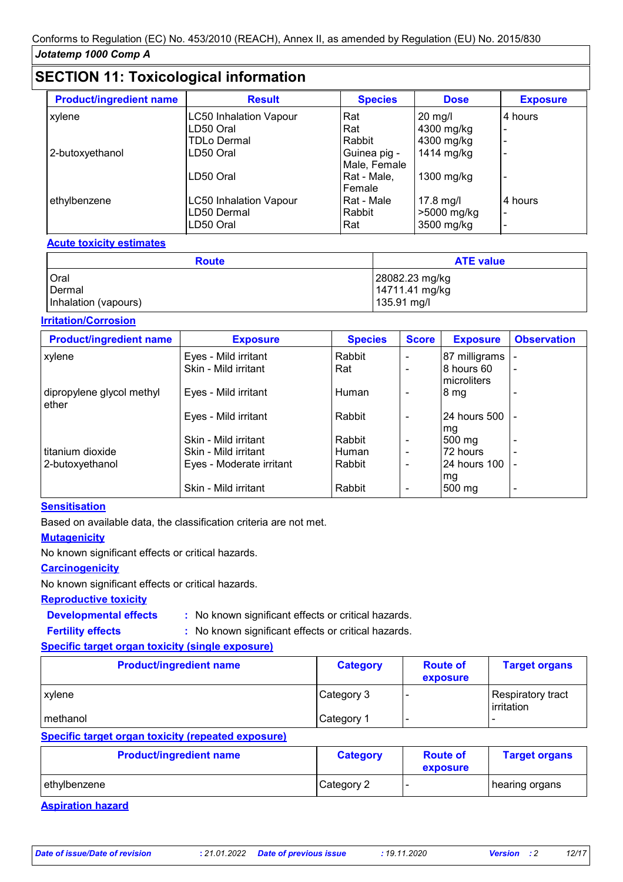## **SECTION 11: Toxicological information**

| <b>Product/ingredient name</b> | <b>Result</b>                 | <b>Species</b> | <b>Dose</b>  | <b>Exposure</b>          |
|--------------------------------|-------------------------------|----------------|--------------|--------------------------|
| xylene                         | <b>LC50 Inhalation Vapour</b> | Rat            | $20$ mg/l    | 4 hours                  |
|                                | LD50 Oral                     | Rat            | 4300 mg/kg   | ۰                        |
|                                | <b>TDLo Dermal</b>            | Rabbit         | 4300 mg/kg   | $\overline{\phantom{0}}$ |
| 2-butoxyethanol                | LD50 Oral                     | Guinea pig -   | 1414 mg/kg   | $\overline{\phantom{0}}$ |
|                                |                               | Male, Female   |              |                          |
|                                | LD50 Oral                     | Rat - Male,    | $1300$ mg/kg | $\overline{\phantom{0}}$ |
|                                |                               | Female         |              |                          |
| ethylbenzene                   | <b>LC50 Inhalation Vapour</b> | Rat - Male     | 17.8 mg/l    | 4 hours                  |
|                                | LD50 Dermal                   | Rabbit         | >5000 mg/kg  | $\blacksquare$           |
|                                | LD50 Oral                     | Rat            | 3500 mg/kg   | $\overline{\phantom{0}}$ |

#### **Acute toxicity estimates**

| <b>Route</b>         | <b>ATE value</b> |
|----------------------|------------------|
| <b>Oral</b>          | 28082.23 mg/kg   |
| Dermal               | 14711.41 mg/kg   |
| Inhalation (vapours) | 135.91 mg/l      |

#### **Irritation/Corrosion**

| <b>Product/ingredient name</b>      | <b>Exposure</b>          | <b>Species</b> | <b>Score</b> | <b>Exposure</b>           | <b>Observation</b> |
|-------------------------------------|--------------------------|----------------|--------------|---------------------------|--------------------|
| xylene                              | Eyes - Mild irritant     | Rabbit         |              | 87 milligrams             |                    |
|                                     | Skin - Mild irritant     | Rat            |              | 8 hours 60<br>microliters |                    |
| dipropylene glycol methyl<br>lether | Eyes - Mild irritant     | Human          |              | 8 mg                      |                    |
|                                     | Eyes - Mild irritant     | Rabbit         |              | 24 hours 500<br>mg        |                    |
|                                     | Skin - Mild irritant     | Rabbit         |              | $500 \text{ mg}$          |                    |
| l titanium dioxide                  | Skin - Mild irritant     | Human          |              | 72 hours                  |                    |
| 2-butoxyethanol                     | Eyes - Moderate irritant | Rabbit         |              | 24 hours 100<br>mg        |                    |
|                                     | Skin - Mild irritant     | Rabbit         |              | $500 \text{ mg}$          |                    |

#### **Sensitisation**

Based on available data, the classification criteria are not met.

#### **Mutagenicity**

No known significant effects or critical hazards.

#### **Carcinogenicity**

No known significant effects or critical hazards.

#### **Reproductive toxicity**

**Developmental effects :**

: No known significant effects or critical hazards.

**Fertility effects :**

: No known significant effects or critical hazards.

### **Specific target organ toxicity (single exposure)**

| <b>Product/ingredient name</b> | <b>Category</b> | <b>Route of</b><br>exposure | <b>Target organs</b>            |
|--------------------------------|-----------------|-----------------------------|---------------------------------|
| xylene                         | Category 3      |                             | Respiratory tract<br>irritation |
| I methanol                     | Category 1      | -                           |                                 |

#### **Specific target organ toxicity (repeated exposure)**

| <b>Product/ingredient name</b> | <b>Category</b> | <b>Route of</b><br>exposure | <b>Target organs</b> |
|--------------------------------|-----------------|-----------------------------|----------------------|
| l ethvlbenzene                 | Category 2      |                             | hearing organs       |

#### **Aspiration hazard**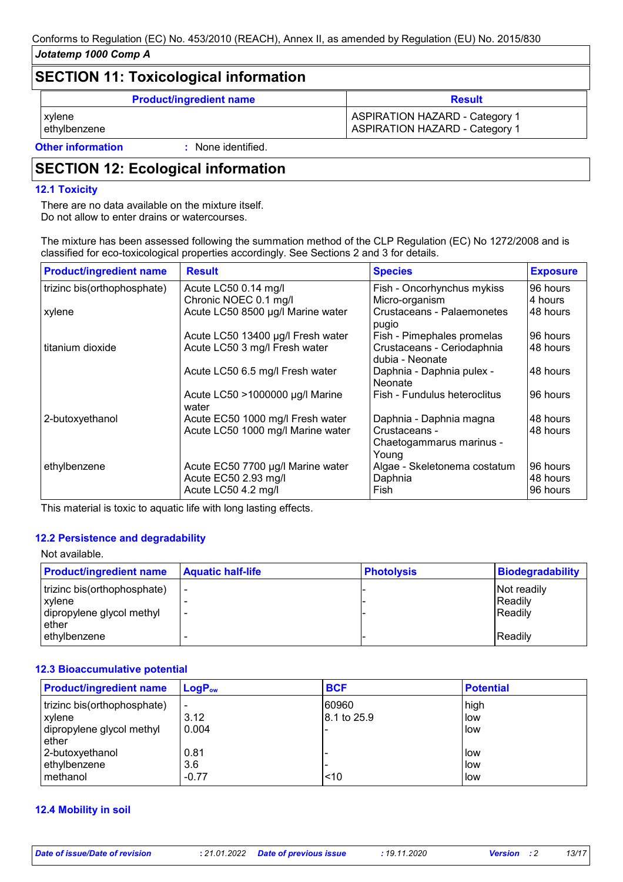## **SECTION 11: Toxicological information Product/ingredient name Result** xylene Aspectrum and the ASPIRATION HAZARD - Category 1 ASPIRATION HAZARD - Category 1 ethylbenzene **ASPIRATION HAZARD** - Category 1

**Other information :**

: None identified.

## **SECTION 12: Ecological information**

#### **12.1 Toxicity**

There are no data available on the mixture itself. Do not allow to enter drains or watercourses.

The mixture has been assessed following the summation method of the CLP Regulation (EC) No 1272/2008 and is classified for eco-toxicological properties accordingly. See Sections 2 and 3 for details.

| <b>Product/ingredient name</b> | <b>Result</b>                                                                    | <b>Species</b>                                     | <b>Exposure</b>                  |
|--------------------------------|----------------------------------------------------------------------------------|----------------------------------------------------|----------------------------------|
| trizinc bis(orthophosphate)    | Acute LC50 0.14 mg/l                                                             | Fish - Oncorhynchus mykiss                         | 96 hours                         |
|                                | Chronic NOEC 0.1 mg/l                                                            | Micro-organism                                     | 4 hours                          |
| xylene                         | Acute LC50 8500 µg/l Marine water                                                | Crustaceans - Palaemonetes<br>pugio                | 48 hours                         |
|                                | Acute LC50 13400 µg/l Fresh water                                                | Fish - Pimephales promelas                         | 96 hours                         |
| l titanium dioxide             | Acute LC50 3 mg/l Fresh water                                                    | Crustaceans - Ceriodaphnia<br>dubia - Neonate      | 48 hours                         |
|                                | Acute LC50 6.5 mg/l Fresh water                                                  | Daphnia - Daphnia pulex -<br>Neonate               | 48 hours                         |
|                                | Acute LC50 >1000000 µg/l Marine<br>water                                         | Fish - Fundulus heteroclitus                       | 96 hours                         |
| 2-butoxyethanol                | Acute EC50 1000 mg/l Fresh water                                                 | Daphnia - Daphnia magna                            | 48 hours                         |
|                                | Acute LC50 1000 mg/l Marine water                                                | Crustaceans -<br>Chaetogammarus marinus -<br>Young | 48 hours                         |
| ethylbenzene                   | Acute EC50 7700 µg/l Marine water<br>Acute EC50 2.93 mg/l<br>Acute LC50 4.2 mg/l | Algae - Skeletonema costatum<br>Daphnia<br>Fish    | 96 hours<br>48 hours<br>96 hours |

This material is toxic to aquatic life with long lasting effects.

#### **12.2 Persistence and degradability**

#### Not available.

| <b>Product/ingredient name</b>      | <b>Aquatic half-life</b> | <b>Photolysis</b> | Biodegradability   |
|-------------------------------------|--------------------------|-------------------|--------------------|
| trizinc bis(orthophosphate)         | $\overline{\phantom{0}}$ |                   | Not readily        |
| xylene<br>dipropylene glycol methyl | $\overline{\phantom{a}}$ |                   | Readily<br>Readily |
| ether                               |                          |                   |                    |
| ethylbenzene                        |                          |                   | <b>Readily</b>     |

#### **12.3 Bioaccumulative potential**

| <b>Product/ingredient name</b>                                              | $LogP_{ow}$                               | <b>BCF</b>           | <b>Potential</b>           |
|-----------------------------------------------------------------------------|-------------------------------------------|----------------------|----------------------------|
| trizinc bis(orthophosphate)<br>xylene<br>dipropylene glycol methyl<br>ether | $\overline{\phantom{a}}$<br>3.12<br>0.004 | 60960<br>8.1 to 25.9 | high<br>low<br>low         |
| 2-butoxyethanol<br>ethylbenzene<br>methanol                                 | 0.81<br>3.6<br>$-0.77$                    | 10                   | l low<br>low<br><b>low</b> |

#### **12.4 Mobility in soil**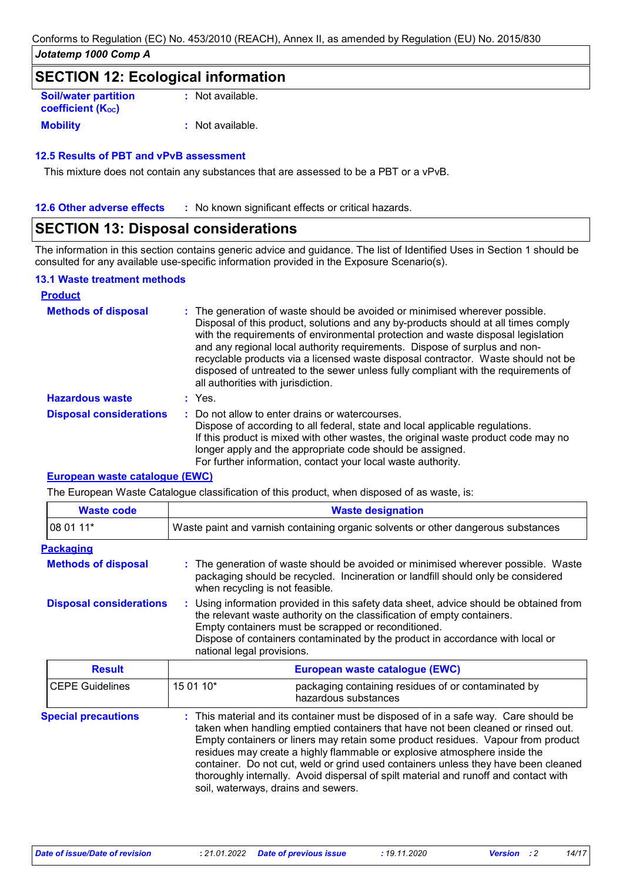## **SECTION 12: Ecological information**

| <b>Soil/water partition</b><br><b>coefficient (Koc)</b> | : Not available. |
|---------------------------------------------------------|------------------|
| <b>Mobility</b>                                         | : Not available. |

#### **12.5 Results of PBT and vPvB assessment**

This mixture does not contain any substances that are assessed to be a PBT or a vPvB.

**12.6 Other adverse effects** : No known significant effects or critical hazards.

## **SECTION 13: Disposal considerations**

The information in this section contains generic advice and guidance. The list of Identified Uses in Section 1 should be consulted for any available use-specific information provided in the Exposure Scenario(s).

#### **13.1 Waste treatment methods**

| <b>Product</b>                 |                                                                                                                                                                                                                                                                                                                                                                                                                                                                                                                                                      |
|--------------------------------|------------------------------------------------------------------------------------------------------------------------------------------------------------------------------------------------------------------------------------------------------------------------------------------------------------------------------------------------------------------------------------------------------------------------------------------------------------------------------------------------------------------------------------------------------|
| <b>Methods of disposal</b>     | : The generation of waste should be avoided or minimised wherever possible.<br>Disposal of this product, solutions and any by-products should at all times comply<br>with the requirements of environmental protection and waste disposal legislation<br>and any regional local authority requirements. Dispose of surplus and non-<br>recyclable products via a licensed waste disposal contractor. Waste should not be<br>disposed of untreated to the sewer unless fully compliant with the requirements of<br>all authorities with jurisdiction. |
| <b>Hazardous waste</b>         | : Yes.                                                                                                                                                                                                                                                                                                                                                                                                                                                                                                                                               |
| <b>Disposal considerations</b> | : Do not allow to enter drains or watercourses.<br>Dispose of according to all federal, state and local applicable regulations.<br>If this product is mixed with other wastes, the original waste product code may no<br>longer apply and the appropriate code should be assigned.<br>For further information, contact your local waste authority.                                                                                                                                                                                                   |

#### **European waste catalogue (EWC)**

The European Waste Catalogue classification of this product, when disposed of as waste, is:

| <b>Waste code</b>              | <b>Waste designation</b>                                                                                                                                                                                                                                                                                                                |  |  |
|--------------------------------|-----------------------------------------------------------------------------------------------------------------------------------------------------------------------------------------------------------------------------------------------------------------------------------------------------------------------------------------|--|--|
| 08 01 11*                      | Waste paint and varnish containing organic solvents or other dangerous substances                                                                                                                                                                                                                                                       |  |  |
| <b>Packaging</b>               |                                                                                                                                                                                                                                                                                                                                         |  |  |
| <b>Methods of disposal</b>     | : The generation of waste should be avoided or minimised wherever possible. Waste<br>packaging should be recycled. Incineration or landfill should only be considered<br>when recycling is not feasible.                                                                                                                                |  |  |
| <b>Disposal considerations</b> | : Using information provided in this safety data sheet, advice should be obtained from<br>the relevant waste authority on the classification of empty containers.<br>Empty containers must be scrapped or reconditioned.<br>Dispose of containers contaminated by the product in accordance with local or<br>national legal provisions. |  |  |
| <b>Result</b>                  | European waste catalogue (EWC)                                                                                                                                                                                                                                                                                                          |  |  |
| <b>CEPE Guidelines</b>         | 15 01 10*<br>packaging containing residues of or contaminated by<br>hazardous substances                                                                                                                                                                                                                                                |  |  |

| <b>Special precautions</b> | : This material and its container must be disposed of in a safe way. Care should be<br>taken when handling emptied containers that have not been cleaned or rinsed out.<br>Empty containers or liners may retain some product residues. Vapour from product<br>residues may create a highly flammable or explosive atmosphere inside the<br>container. Do not cut, weld or grind used containers unless they have been cleaned<br>thoroughly internally. Avoid dispersal of spilt material and runoff and contact with |
|----------------------------|------------------------------------------------------------------------------------------------------------------------------------------------------------------------------------------------------------------------------------------------------------------------------------------------------------------------------------------------------------------------------------------------------------------------------------------------------------------------------------------------------------------------|
|                            | soil, waterways, drains and sewers.                                                                                                                                                                                                                                                                                                                                                                                                                                                                                    |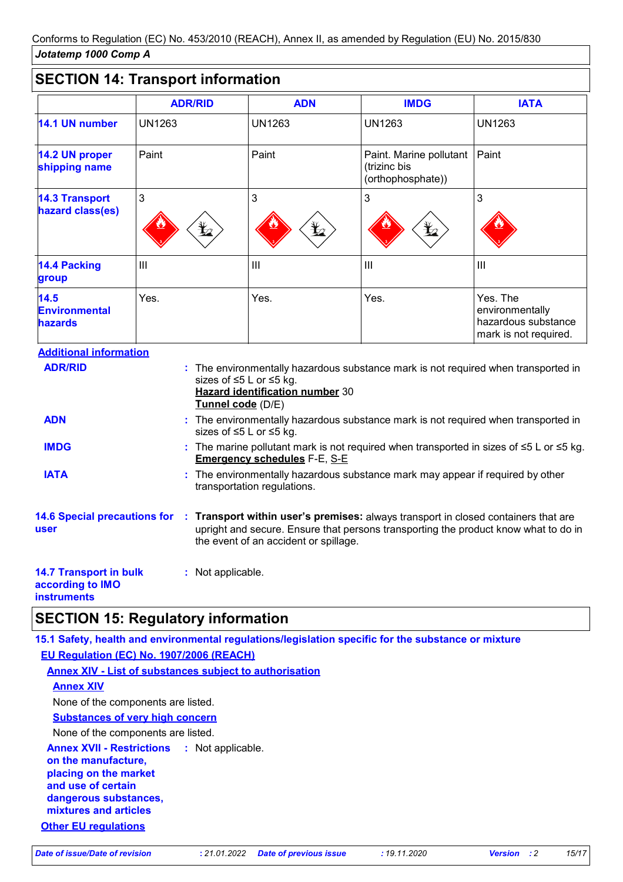## **SECTION 14: Transport information**

|                                                | <b>ADR/RID</b>  | <b>ADN</b>      | <b>IMDG</b>                                                  | <b>IATA</b>                                                                 |
|------------------------------------------------|-----------------|-----------------|--------------------------------------------------------------|-----------------------------------------------------------------------------|
| 14.1 UN number                                 | <b>UN1263</b>   | UN1263          | <b>UN1263</b>                                                | <b>UN1263</b>                                                               |
| 14.2 UN proper<br>shipping name                | Paint           | Paint           | Paint. Marine pollutant<br>(trizinc bis<br>(orthophosphate)) | Paint                                                                       |
| <b>14.3 Transport</b><br>hazard class(es)      | 3<br>$\bigstar$ | 3<br>$\bigstar$ | 3<br>$\bigstar$                                              | 3                                                                           |
| <b>14.4 Packing</b><br>group                   | Ш               | $\mathbf{III}$  | $\mathbf{III}$                                               | $\mathbf{III}$                                                              |
| 14.5<br><b>Environmental</b><br><b>hazards</b> | Yes.            | Yes.            | Yes.                                                         | Yes. The<br>environmentally<br>hazardous substance<br>mark is not required. |

| <b>ADR/RID</b>                                                   | : The environmentally hazardous substance mark is not required when transported in<br>sizes of ≤5 L or ≤5 kg.<br><b>Hazard identification number 30</b><br>Tunnel code (D/E)                                       |
|------------------------------------------------------------------|--------------------------------------------------------------------------------------------------------------------------------------------------------------------------------------------------------------------|
| <b>ADN</b>                                                       | : The environmentally hazardous substance mark is not required when transported in<br>sizes of ≤5 L or ≤5 kg.                                                                                                      |
| <b>IMDG</b>                                                      | : The marine pollutant mark is not required when transported in sizes of $\leq 5$ L or $\leq 5$ kg.<br><b>Emergency schedules F-E, S-E</b>                                                                         |
| <b>IATA</b>                                                      | : The environmentally hazardous substance mark may appear if required by other<br>transportation regulations.                                                                                                      |
| <b>14.6 Special precautions for</b><br>user                      | : Transport within user's premises: always transport in closed containers that are<br>upright and secure. Ensure that persons transporting the product know what to do in<br>the event of an accident or spillage. |
| <b>14.7 Transport in bulk</b><br>according to IMO<br>instruments | : Not applicable.                                                                                                                                                                                                  |

## **SECTION 15: Regulatory information**

**15.1 Safety, health and environmental regulations/legislation specific for the substance or mixture Other EU regulations Annex XVII - Restrictions :** Not applicable. **on the manufacture, placing on the market and use of certain dangerous substances, mixtures and articles EU Regulation (EC) No. 1907/2006 (REACH) Annex XIV - List of substances subject to authorisation Annex XIV Substances of very high concern** None of the components are listed. None of the components are listed.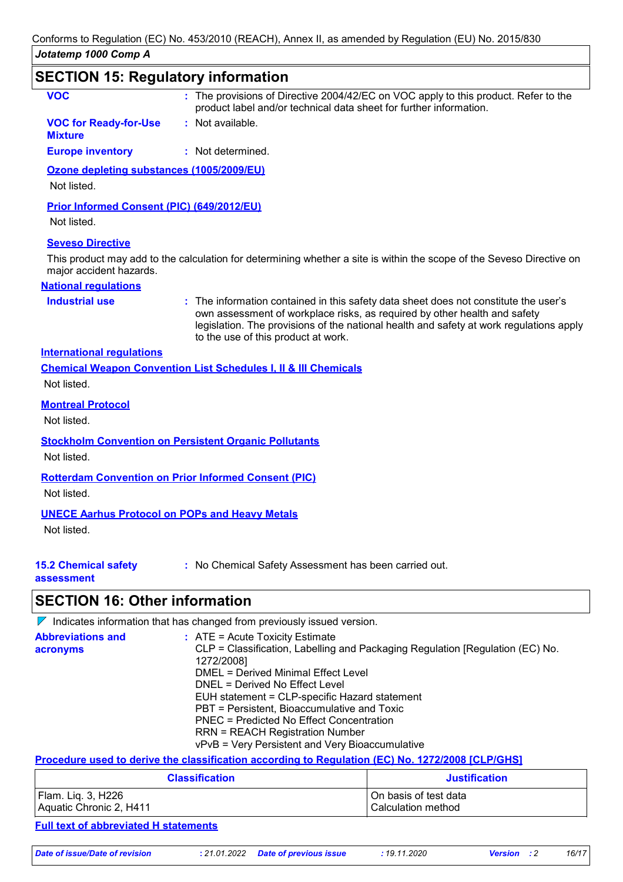| <b>SECTION 15: Regulatory information</b>                            |                                                                                                                                                                                                                                                                                                     |
|----------------------------------------------------------------------|-----------------------------------------------------------------------------------------------------------------------------------------------------------------------------------------------------------------------------------------------------------------------------------------------------|
| <b>VOC</b>                                                           | : The provisions of Directive 2004/42/EC on VOC apply to this product. Refer to the<br>product label and/or technical data sheet for further information.                                                                                                                                           |
| <b>VOC for Ready-for-Use</b><br><b>Mixture</b>                       | : Not available.                                                                                                                                                                                                                                                                                    |
| <b>Europe inventory</b>                                              | : Not determined.                                                                                                                                                                                                                                                                                   |
| Ozone depleting substances (1005/2009/EU)<br>Not listed.             |                                                                                                                                                                                                                                                                                                     |
| Prior Informed Consent (PIC) (649/2012/EU)<br>Not listed.            |                                                                                                                                                                                                                                                                                                     |
| <b>Seveso Directive</b>                                              |                                                                                                                                                                                                                                                                                                     |
| major accident hazards.                                              | This product may add to the calculation for determining whether a site is within the scope of the Seveso Directive on                                                                                                                                                                               |
| <b>National requlations</b>                                          |                                                                                                                                                                                                                                                                                                     |
| <b>Industrial use</b>                                                | : The information contained in this safety data sheet does not constitute the user's<br>own assessment of workplace risks, as required by other health and safety<br>legislation. The provisions of the national health and safety at work regulations apply<br>to the use of this product at work. |
| <b>International requlations</b>                                     |                                                                                                                                                                                                                                                                                                     |
| Not listed.                                                          | <b>Chemical Weapon Convention List Schedules I, II &amp; III Chemicals</b>                                                                                                                                                                                                                          |
| <b>Montreal Protocol</b><br>Not listed.                              |                                                                                                                                                                                                                                                                                                     |
| Not listed.                                                          | <b>Stockholm Convention on Persistent Organic Pollutants</b>                                                                                                                                                                                                                                        |
| Not listed.                                                          | <b>Rotterdam Convention on Prior Informed Consent (PIC)</b>                                                                                                                                                                                                                                         |
| <b>UNECE Aarhus Protocol on POPs and Heavy Metals</b><br>Not listed. |                                                                                                                                                                                                                                                                                                     |
| <b>15.2 Chemical safety</b><br>assessment                            | : No Chemical Safety Assessment has been carried out.                                                                                                                                                                                                                                               |
| <b>SECTION 16: Other information</b>                                 |                                                                                                                                                                                                                                                                                                     |
|                                                                      | $\nabla$ Indicates information that has changed from previously issued version.                                                                                                                                                                                                                     |
| <b>Abbreviations and</b>                                             | : ATE = Acute Toxicity Estimate                                                                                                                                                                                                                                                                     |

| <b>ADDREVIATIONS AND</b> | $\therefore$ A I E = ACULE TOXICITY ESTIMATE                                  |
|--------------------------|-------------------------------------------------------------------------------|
| acronyms                 | CLP = Classification, Labelling and Packaging Regulation [Regulation (EC) No. |
|                          | 1272/2008]                                                                    |
|                          | DMEL = Derived Minimal Effect Level                                           |
|                          | DNEL = Derived No Effect Level                                                |
|                          | EUH statement = CLP-specific Hazard statement                                 |
|                          | PBT = Persistent, Bioaccumulative and Toxic                                   |
|                          | PNEC = Predicted No Effect Concentration                                      |
|                          | <b>RRN = REACH Registration Number</b>                                        |
|                          | vPvB = Very Persistent and Very Bioaccumulative                               |
|                          |                                                                               |

#### **Procedure used to derive the classification according to Regulation (EC) No. 1272/2008 [CLP/GHS]**

| <b>Classification</b>   | <b>Justification</b>    |
|-------------------------|-------------------------|
| Flam. Lig. 3, H226      | l On basis of test data |
| Aquatic Chronic 2, H411 | l Calculation method    |

#### **Full text of abbreviated H statements**

*Date of issue/Date of revision* **:** *21.01.2022 Date of previous issue : 19.11.2020 Version : 2 16/17*